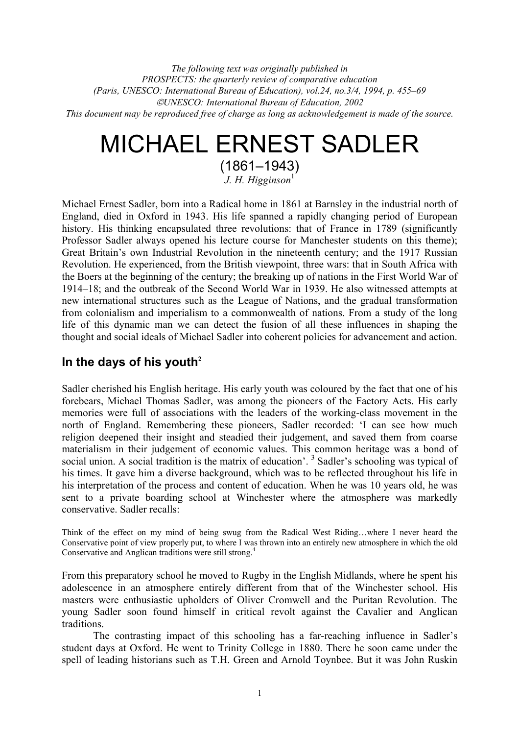*The following text was originally published in PROSPECTS: the quarterly review of comparative education (Paris, UNESCO: International Bureau of Education), vol.24, no.3/4, 1994, p. 455–69 UNESCO: International Bureau of Education, 2002 This document may be reproduced free of charge as long as acknowledgement is made of the source.* 

# MICHAEL ERNEST SADLER

(1861–1943)

*J. H. Higginson*<sup>1</sup>

Michael Ernest Sadler, born into a Radical home in 1861 at Barnsley in the industrial north of England, died in Oxford in 1943. His life spanned a rapidly changing period of European history. His thinking encapsulated three revolutions: that of France in 1789 (significantly Professor Sadler always opened his lecture course for Manchester students on this theme); Great Britain's own Industrial Revolution in the nineteenth century; and the 1917 Russian Revolution. He experienced, from the British viewpoint, three wars: that in South Africa with the Boers at the beginning of the century; the breaking up of nations in the First World War of 1914–18; and the outbreak of the Second World War in 1939. He also witnessed attempts at new international structures such as the League of Nations, and the gradual transformation from colonialism and imperialism to a commonwealth of nations. From a study of the long life of this dynamic man we can detect the fusion of all these influences in shaping the thought and social ideals of Michael Sadler into coherent policies for advancement and action.

#### **In the days of his youth<sup>2</sup>**

Sadler cherished his English heritage. His early youth was coloured by the fact that one of his forebears, Michael Thomas Sadler, was among the pioneers of the Factory Acts. His early memories were full of associations with the leaders of the working-class movement in the north of England. Remembering these pioneers, Sadler recorded: 'I can see how much religion deepened their insight and steadied their judgement, and saved them from coarse materialism in their judgement of economic values. This common heritage was a bond of social union. A social tradition is the matrix of education'.<sup>3</sup> Sadler's schooling was typical of his times. It gave him a diverse background, which was to be reflected throughout his life in his interpretation of the process and content of education. When he was 10 years old, he was sent to a private boarding school at Winchester where the atmosphere was markedly conservative. Sadler recalls:

Think of the effect on my mind of being swug from the Radical West Riding…where I never heard the Conservative point of view properly put, to where I was thrown into an entirely new atmosphere in which the old Conservative and Anglican traditions were still strong.4

From this preparatory school he moved to Rugby in the English Midlands, where he spent his adolescence in an atmosphere entirely different from that of the Winchester school. His masters were enthusiastic upholders of Oliver Cromwell and the Puritan Revolution. The young Sadler soon found himself in critical revolt against the Cavalier and Anglican traditions.

The contrasting impact of this schooling has a far-reaching influence in Sadler's student days at Oxford. He went to Trinity College in 1880. There he soon came under the spell of leading historians such as T.H. Green and Arnold Toynbee. But it was John Ruskin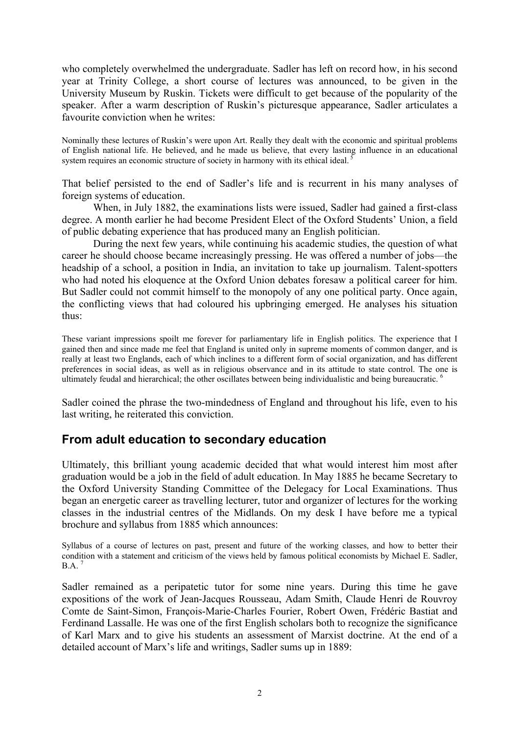who completely overwhelmed the undergraduate. Sadler has left on record how, in his second year at Trinity College, a short course of lectures was announced, to be given in the University Museum by Ruskin. Tickets were difficult to get because of the popularity of the speaker. After a warm description of Ruskin's picturesque appearance, Sadler articulates a favourite conviction when he writes:

Nominally these lectures of Ruskin's were upon Art. Really they dealt with the economic and spiritual problems of English national life. He believed, and he made us believe, that every lasting influence in an educational system requires an economic structure of society in harmony with its ethical ideal.

That belief persisted to the end of Sadler's life and is recurrent in his many analyses of foreign systems of education.

When, in July 1882, the examinations lists were issued, Sadler had gained a first-class degree. A month earlier he had become President Elect of the Oxford Students' Union, a field of public debating experience that has produced many an English politician.

During the next few years, while continuing his academic studies, the question of what career he should choose became increasingly pressing. He was offered a number of jobs—the headship of a school, a position in India, an invitation to take up journalism. Talent-spotters who had noted his eloquence at the Oxford Union debates foresaw a political career for him. But Sadler could not commit himself to the monopoly of any one political party. Once again, the conflicting views that had coloured his upbringing emerged. He analyses his situation thus:

These variant impressions spoilt me forever for parliamentary life in English politics. The experience that I gained then and since made me feel that England is united only in supreme moments of common danger, and is really at least two Englands, each of which inclines to a different form of social organization, and has different preferences in social ideas, as well as in religious observance and in its attitude to state control. The one is ultimately feudal and hierarchical; the other oscillates between being individualistic and being bureaucratic. <sup>6</sup>

Sadler coined the phrase the two-mindedness of England and throughout his life, even to his last writing, he reiterated this conviction.

### **From adult education to secondary education**

Ultimately, this brilliant young academic decided that what would interest him most after graduation would be a job in the field of adult education. In May 1885 he became Secretary to the Oxford University Standing Committee of the Delegacy for Local Examinations. Thus began an energetic career as travelling lecturer, tutor and organizer of lectures for the working classes in the industrial centres of the Midlands. On my desk I have before me a typical brochure and syllabus from 1885 which announces:

Syllabus of a course of lectures on past, present and future of the working classes, and how to better their condition with a statement and criticism of the views held by famous political economists by Michael E. Sadler,  $B.A.$ <sup>7</sup>

Sadler remained as a peripatetic tutor for some nine years. During this time he gave expositions of the work of Jean-Jacques Rousseau, Adam Smith, Claude Henri de Rouvroy Comte de Saint-Simon, François-Marie-Charles Fourier, Robert Owen, Frédéric Bastiat and Ferdinand Lassalle. He was one of the first English scholars both to recognize the significance of Karl Marx and to give his students an assessment of Marxist doctrine. At the end of a detailed account of Marx's life and writings, Sadler sums up in 1889: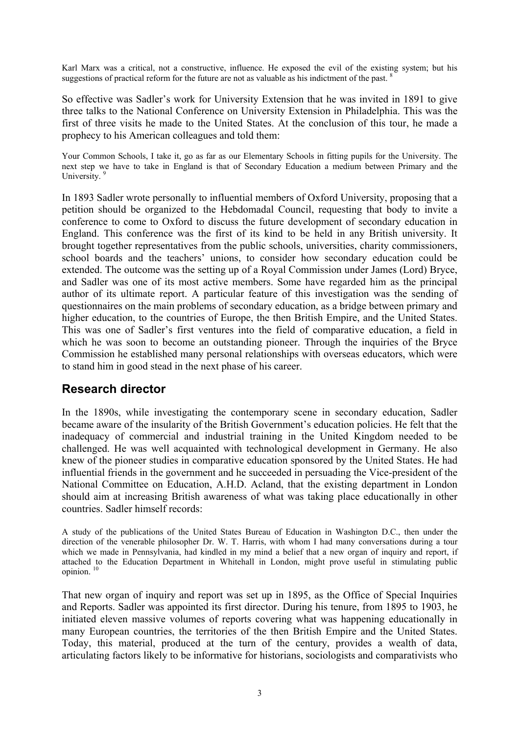Karl Marx was a critical, not a constructive, influence. He exposed the evil of the existing system; but his suggestions of practical reform for the future are not as valuable as his indictment of the past. <sup>8</sup>

So effective was Sadler's work for University Extension that he was invited in 1891 to give three talks to the National Conference on University Extension in Philadelphia. This was the first of three visits he made to the United States. At the conclusion of this tour, he made a prophecy to his American colleagues and told them:

Your Common Schools, I take it, go as far as our Elementary Schools in fitting pupils for the University. The next step we have to take in England is that of Secondary Education a medium between Primary and the University.<sup>9</sup>

In 1893 Sadler wrote personally to influential members of Oxford University, proposing that a petition should be organized to the Hebdomadal Council, requesting that body to invite a conference to come to Oxford to discuss the future development of secondary education in England. This conference was the first of its kind to be held in any British university. It brought together representatives from the public schools, universities, charity commissioners, school boards and the teachers' unions, to consider how secondary education could be extended. The outcome was the setting up of a Royal Commission under James (Lord) Bryce, and Sadler was one of its most active members. Some have regarded him as the principal author of its ultimate report. A particular feature of this investigation was the sending of questionnaires on the main problems of secondary education, as a bridge between primary and higher education, to the countries of Europe, the then British Empire, and the United States. This was one of Sadler's first ventures into the field of comparative education, a field in which he was soon to become an outstanding pioneer. Through the inquiries of the Bryce Commission he established many personal relationships with overseas educators, which were to stand him in good stead in the next phase of his career.

## **Research director**

In the 1890s, while investigating the contemporary scene in secondary education, Sadler became aware of the insularity of the British Government's education policies. He felt that the inadequacy of commercial and industrial training in the United Kingdom needed to be challenged. He was well acquainted with technological development in Germany. He also knew of the pioneer studies in comparative education sponsored by the United States. He had influential friends in the government and he succeeded in persuading the Vice-president of the National Committee on Education, A.H.D. Acland, that the existing department in London should aim at increasing British awareness of what was taking place educationally in other countries. Sadler himself records:

A study of the publications of the United States Bureau of Education in Washington D.C., then under the direction of the venerable philosopher Dr. W. T. Harris, with whom I had many conversations during a tour which we made in Pennsylvania, had kindled in my mind a belief that a new organ of inquiry and report, if attached to the Education Department in Whitehall in London, might prove useful in stimulating public opinion. <sup>10</sup>

That new organ of inquiry and report was set up in 1895, as the Office of Special Inquiries and Reports. Sadler was appointed its first director. During his tenure, from 1895 to 1903, he initiated eleven massive volumes of reports covering what was happening educationally in many European countries, the territories of the then British Empire and the United States. Today, this material, produced at the turn of the century, provides a wealth of data, articulating factors likely to be informative for historians, sociologists and comparativists who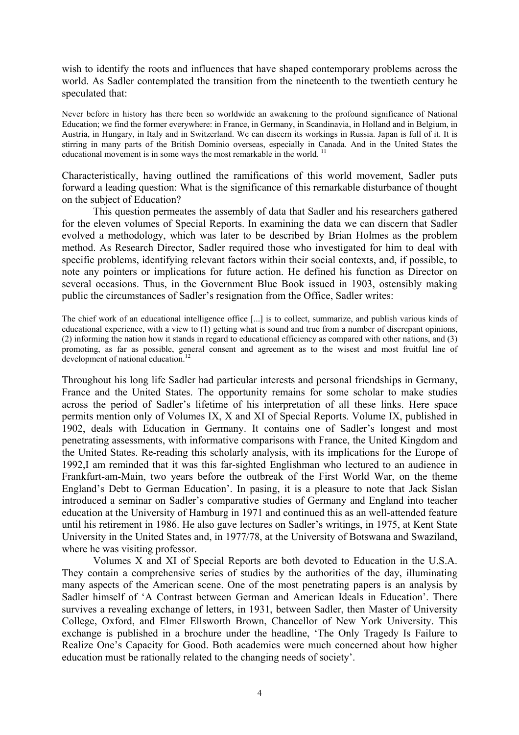wish to identify the roots and influences that have shaped contemporary problems across the world. As Sadler contemplated the transition from the nineteenth to the twentieth century he speculated that:

Never before in history has there been so worldwide an awakening to the profound significance of National Education; we find the former everywhere: in France, in Germany, in Scandinavia, in Holland and in Belgium, in Austria, in Hungary, in Italy and in Switzerland. We can discern its workings in Russia. Japan is full of it. It is stirring in many parts of the British Dominio overseas, especially in Canada. And in the United States the educational movement is in some ways the most remarkable in the world.<sup>11</sup>

Characteristically, having outlined the ramifications of this world movement, Sadler puts forward a leading question: What is the significance of this remarkable disturbance of thought on the subject of Education?

This question permeates the assembly of data that Sadler and his researchers gathered for the eleven volumes of Special Reports. In examining the data we can discern that Sadler evolved a methodology, which was later to be described by Brian Holmes as the problem method. As Research Director, Sadler required those who investigated for him to deal with specific problems, identifying relevant factors within their social contexts, and, if possible, to note any pointers or implications for future action. He defined his function as Director on several occasions. Thus, in the Government Blue Book issued in 1903, ostensibly making public the circumstances of Sadler's resignation from the Office, Sadler writes:

The chief work of an educational intelligence office [...] is to collect, summarize, and publish various kinds of educational experience, with a view to (1) getting what is sound and true from a number of discrepant opinions, (2) informing the nation how it stands in regard to educational efficiency as compared with other nations, and (3) promoting, as far as possible, general consent and agreement as to the wisest and most fruitful line of development of national education.<sup>12</sup>

Throughout his long life Sadler had particular interests and personal friendships in Germany, France and the United States. The opportunity remains for some scholar to make studies across the period of Sadler's lifetime of his interpretation of all these links. Here space permits mention only of Volumes IX, X and XI of Special Reports. Volume IX, published in 1902, deals with Education in Germany. It contains one of Sadler's longest and most penetrating assessments, with informative comparisons with France, the United Kingdom and the United States. Re-reading this scholarly analysis, with its implications for the Europe of 1992,I am reminded that it was this far-sighted Englishman who lectured to an audience in Frankfurt-am-Main, two years before the outbreak of the First World War, on the theme England's Debt to German Education'. In pasing, it is a pleasure to note that Jack Sislan introduced a seminar on Sadler's comparative studies of Germany and England into teacher education at the University of Hamburg in 1971 and continued this as an well-attended feature until his retirement in 1986. He also gave lectures on Sadler's writings, in 1975, at Kent State University in the United States and, in 1977/78, at the University of Botswana and Swaziland, where he was visiting professor.

Volumes X and XI of Special Reports are both devoted to Education in the U.S.A. They contain a comprehensive series of studies by the authorities of the day, illuminating many aspects of the American scene. One of the most penetrating papers is an analysis by Sadler himself of 'A Contrast between German and American Ideals in Education'. There survives a revealing exchange of letters, in 1931, between Sadler, then Master of University College, Oxford, and Elmer Ellsworth Brown, Chancellor of New York University. This exchange is published in a brochure under the headline, 'The Only Tragedy Is Failure to Realize One's Capacity for Good. Both academics were much concerned about how higher education must be rationally related to the changing needs of society'.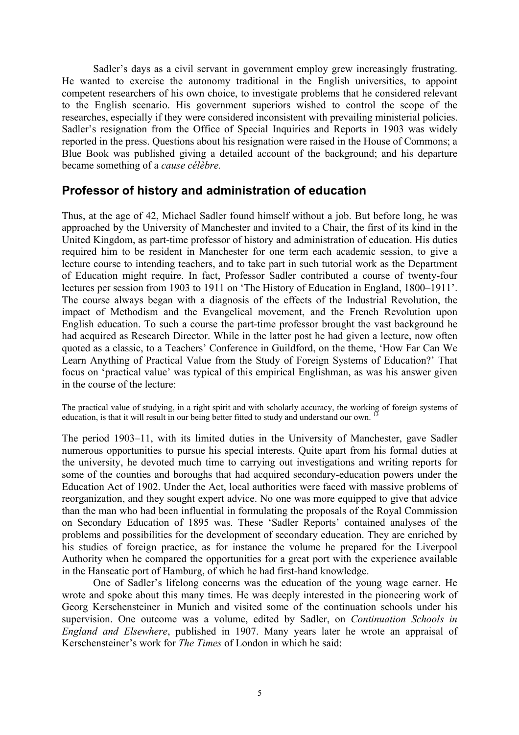Sadler's days as a civil servant in government employ grew increasingly frustrating. He wanted to exercise the autonomy traditional in the English universities, to appoint competent researchers of his own choice, to investigate problems that he considered relevant to the English scenario. His government superiors wished to control the scope of the researches, especially if they were considered inconsistent with prevailing ministerial policies. Sadler's resignation from the Office of Special Inquiries and Reports in 1903 was widely reported in the press. Questions about his resignation were raised in the House of Commons; a Blue Book was published giving a detailed account of the background; and his departure became something of a *cause célèbre.* 

## **Professor of history and administration of education**

Thus, at the age of 42, Michael Sadler found himself without a job. But before long, he was approached by the University of Manchester and invited to a Chair, the first of its kind in the United Kingdom, as part-time professor of history and administration of education. His duties required him to be resident in Manchester for one term each academic session, to give a lecture course to intending teachers, and to take part in such tutorial work as the Department of Education might require. In fact, Professor Sadler contributed a course of twenty-four lectures per session from 1903 to 1911 on 'The History of Education in England, 1800–1911'. The course always began with a diagnosis of the effects of the Industrial Revolution, the impact of Methodism and the Evangelical movement, and the French Revolution upon English education. To such a course the part-time professor brought the vast background he had acquired as Research Director. While in the latter post he had given a lecture, now often quoted as a classic, to a Teachers' Conference in Guildford, on the theme, 'How Far Can We Learn Anything of Practical Value from the Study of Foreign Systems of Education?' That focus on 'practical value' was typical of this empirical Englishman, as was his answer given in the course of the lecture:

The practical value of studying, in a right spirit and with scholarly accuracy, the working of foreign systems of education, is that it will result in our being better fitted to study and understand our own.

The period 1903–11, with its limited duties in the University of Manchester, gave Sadler numerous opportunities to pursue his special interests. Quite apart from his formal duties at the university, he devoted much time to carrying out investigations and writing reports for some of the counties and boroughs that had acquired secondary-education powers under the Education Act of 1902. Under the Act, local authorities were faced with massive problems of reorganization, and they sought expert advice. No one was more equipped to give that advice than the man who had been influential in formulating the proposals of the Royal Commission on Secondary Education of 1895 was. These 'Sadler Reports' contained analyses of the problems and possibilities for the development of secondary education. They are enriched by his studies of foreign practice, as for instance the volume he prepared for the Liverpool Authority when he compared the opportunities for a great port with the experience available in the Hanseatic port of Hamburg, of which he had first-hand knowledge.

One of Sadler's lifelong concerns was the education of the young wage earner. He wrote and spoke about this many times. He was deeply interested in the pioneering work of Georg Kerschensteiner in Munich and visited some of the continuation schools under his supervision. One outcome was a volume, edited by Sadler, on *Continuation Schools in England and Elsewhere*, published in 1907. Many years later he wrote an appraisal of Kerschensteiner's work for *The Times* of London in which he said: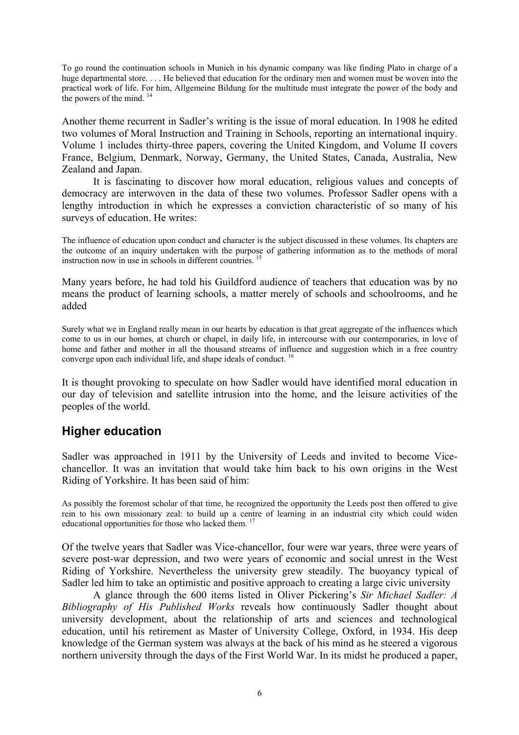To go round the continuation schools in Munich in his dynamic company was like finding Plato in charge of a huge departmental store. . . . He believed that education for the ordinary men and women must be woven into the practical work of life. For him, Allgemeine Bildung for the multitude must integrate the power of the body and the powers of the mind.<sup>14</sup>

Another theme recurrent in Sadler's writing is the issue of moral education. In 1908 he edited two volumes of Moral Instruction and Training in Schools, reporting an international inquiry. Volume 1 includes thirty-three papers, covering the United Kingdom, and Volume II covers France, Belgium, Denmark, Norway, Germany, the United States, Canada, Australia, New Zealand and Japan.

It is fascinating to discover how moral education, religious values and concepts of democracy are interwoven in the data of these two volumes. Professor Sadler opens with a lengthy introduction in which he expresses a conviction characteristic of so many of his surveys of education. He writes:

The influence of education upon conduct and character is the subject discussed in these volumes. Its chapters are the outcome of an inquiry undertaken with the purpose of gathering information as to the methods of moral instruction now in use in schools in different countries. 15

Many years before, he had told his Guildford audience of teachers that education was by no means the product of learning schools, a matter merely of schools and schoolrooms, and he added

Surely what we in England really mean in our hearts by education is that great aggregate of the influences which come to us in our homes, at church or chapel, in daily life, in intercourse with our contemporaries, in love of home and father and mother in all the thousand streams of influence and suggestion which in a free country converge upon each individual life, and shape ideals of conduct. 16

It is thought provoking to speculate on how Sadler would have identified moral education in our day of television and satellite intrusion into the home, and the leisure activities of the peoples of the world.

### **Higher education**

Sadler was approached in 1911 by the University of Leeds and invited to become Vicechancellor. It was an invitation that would take him back to his own origins in the West Riding of Yorkshire. It has been said of him:

As possibly the foremost scholar of that time, he recognized the opportunity the Leeds post then offered to give rein to his own missionary zeal: to build up a centre of learning in an industrial city which could widen educational opportunities for those who lacked them.<sup>17</sup>

Of the twelve years that Sadler was Vice-chancellor, four were war years, three were years of severe post-war depression, and two were years of economic and social unrest in the West Riding of Yorkshire. Nevertheless the university grew steadily. The buoyancy typical of Sadler led him to take an optimistic and positive approach to creating a large civic university

A glance through the 600 items listed in Oliver Pickering's *Sir Michael Sadler: A Bibliography of His Published Works* reveals how continuously Sadler thought about university development, about the relationship of arts and sciences and technological education, until his retirement as Master of University College, Oxford, in 1934. His deep knowledge of the German system was always at the back of his mind as he steered a vigorous northern university through the days of the First World War. In its midst he produced a paper,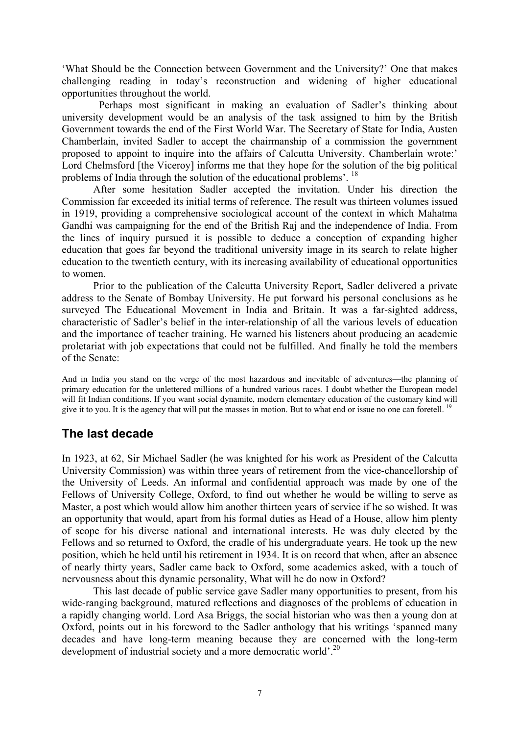'What Should be the Connection between Government and the University?' One that makes challenging reading in today's reconstruction and widening of higher educational opportunities throughout the world.

Perhaps most significant in making an evaluation of Sadler's thinking about university development would be an analysis of the task assigned to him by the British Government towards the end of the First World War. The Secretary of State for India, Austen Chamberlain, invited Sadler to accept the chairmanship of a commission the government proposed to appoint to inquire into the affairs of Calcutta University. Chamberlain wrote:' Lord Chelmsford [the Viceroy] informs me that they hope for the solution of the big political problems of India through the solution of the educational problems'. 18

After some hesitation Sadler accepted the invitation. Under his direction the Commission far exceeded its initial terms of reference. The result was thirteen volumes issued in 1919, providing a comprehensive sociological account of the context in which Mahatma Gandhi was campaigning for the end of the British Raj and the independence of India. From the lines of inquiry pursued it is possible to deduce a conception of expanding higher education that goes far beyond the traditional university image in its search to relate higher education to the twentieth century, with its increasing availability of educational opportunities to women.

Prior to the publication of the Calcutta University Report, Sadler delivered a private address to the Senate of Bombay University. He put forward his personal conclusions as he surveyed The Educational Movement in India and Britain. It was a far-sighted address, characteristic of Sadler's belief in the inter-relationship of all the various levels of education and the importance of teacher training. He warned his listeners about producing an academic proletariat with job expectations that could not be fulfilled. And finally he told the members of the Senate:

And in India you stand on the verge of the most hazardous and inevitable of adventures—the planning of primary education for the unlettered millions of a hundred various races. I doubt whether the European model will fit Indian conditions. If you want social dynamite, modern elementary education of the customary kind will give it to you. It is the agency that will put the masses in motion. But to what end or issue no one can foretell. <sup>19</sup>

### **The last decade**

In 1923, at 62, Sir Michael Sadler (he was knighted for his work as President of the Calcutta University Commission) was within three years of retirement from the vice-chancellorship of the University of Leeds. An informal and confidential approach was made by one of the Fellows of University College, Oxford, to find out whether he would be willing to serve as Master, a post which would allow him another thirteen years of service if he so wished. It was an opportunity that would, apart from his formal duties as Head of a House, allow him plenty of scope for his diverse national and international interests. He was duly elected by the Fellows and so returned to Oxford, the cradle of his undergraduate years. He took up the new position, which he held until his retirement in 1934. It is on record that when, after an absence of nearly thirty years, Sadler came back to Oxford, some academics asked, with a touch of nervousness about this dynamic personality, What will he do now in Oxford?

This last decade of public service gave Sadler many opportunities to present, from his wide-ranging background, matured reflections and diagnoses of the problems of education in a rapidly changing world. Lord Asa Briggs, the social historian who was then a young don at Oxford, points out in his foreword to the Sadler anthology that his writings 'spanned many decades and have long-term meaning because they are concerned with the long-term development of industrial society and a more democratic world'.<sup>20</sup>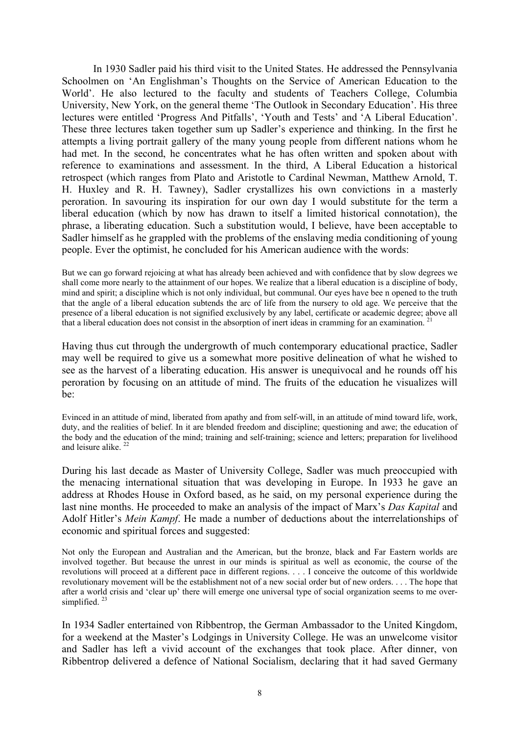In 1930 Sadler paid his third visit to the United States. He addressed the Pennsylvania Schoolmen on 'An Englishman's Thoughts on the Service of American Education to the World'. He also lectured to the faculty and students of Teachers College, Columbia University, New York, on the general theme 'The Outlook in Secondary Education'. His three lectures were entitled 'Progress And Pitfalls', 'Youth and Tests' and 'A Liberal Education'. These three lectures taken together sum up Sadler's experience and thinking. In the first he attempts a living portrait gallery of the many young people from different nations whom he had met. In the second, he concentrates what he has often written and spoken about with reference to examinations and assessment. In the third, A Liberal Education a historical retrospect (which ranges from Plato and Aristotle to Cardinal Newman, Matthew Arnold, T. H. Huxley and R. H. Tawney), Sadler crystallizes his own convictions in a masterly peroration. In savouring its inspiration for our own day I would substitute for the term a liberal education (which by now has drawn to itself a limited historical connotation), the phrase, a liberating education. Such a substitution would, I believe, have been acceptable to Sadler himself as he grappled with the problems of the enslaving media conditioning of young people. Ever the optimist, he concluded for his American audience with the words:

But we can go forward rejoicing at what has already been achieved and with confidence that by slow degrees we shall come more nearly to the attainment of our hopes. We realize that a liberal education is a discipline of body, mind and spirit; a discipline which is not only individual, but communal. Our eyes have bee n opened to the truth that the angle of a liberal education subtends the arc of life from the nursery to old age. We perceive that the presence of a liberal education is not signified exclusively by any label, certificate or academic degree; above all that a liberal education does not consist in the absorption of inert ideas in cramming for an examination. 21

Having thus cut through the undergrowth of much contemporary educational practice, Sadler may well be required to give us a somewhat more positive delineation of what he wished to see as the harvest of a liberating education. His answer is unequivocal and he rounds off his peroration by focusing on an attitude of mind. The fruits of the education he visualizes will be:

Evinced in an attitude of mind, liberated from apathy and from self-will, in an attitude of mind toward life, work, duty, and the realities of belief. In it are blended freedom and discipline; questioning and awe; the education of the body and the education of the mind; training and self-training; science and letters; preparation for livelihood and leisure alike. $2$ 

During his last decade as Master of University College, Sadler was much preoccupied with the menacing international situation that was developing in Europe. In 1933 he gave an address at Rhodes House in Oxford based, as he said, on my personal experience during the last nine months. He proceeded to make an analysis of the impact of Marx's *Das Kapital* and Adolf Hitler's *Mein Kampf*. He made a number of deductions about the interrelationships of economic and spiritual forces and suggested:

Not only the European and Australian and the American, but the bronze, black and Far Eastern worlds are involved together. But because the unrest in our minds is spiritual as well as economic, the course of the revolutions will proceed at a different pace in different regions. . . . I conceive the outcome of this worldwide revolutionary movement will be the establishment not of a new social order but of new orders. . . . The hope that after a world crisis and 'clear up' there will emerge one universal type of social organization seems to me oversimplified.<sup>23</sup>

In 1934 Sadler entertained von Ribbentrop, the German Ambassador to the United Kingdom, for a weekend at the Master's Lodgings in University College. He was an unwelcome visitor and Sadler has left a vivid account of the exchanges that took place. After dinner, von Ribbentrop delivered a defence of National Socialism, declaring that it had saved Germany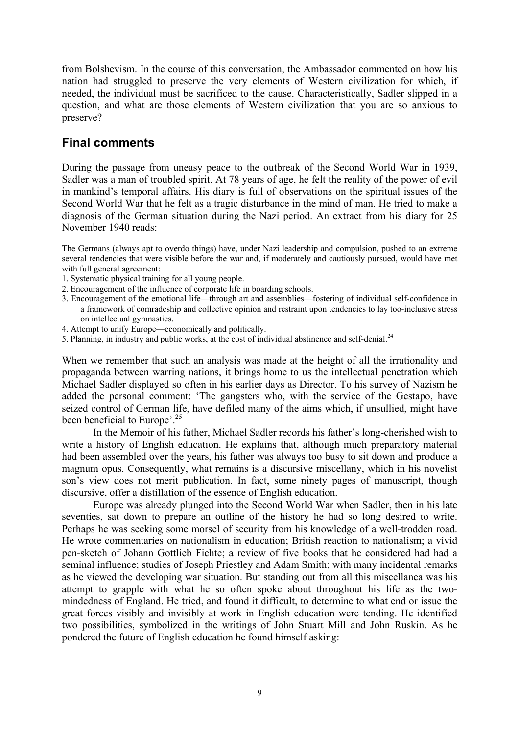from Bolshevism. In the course of this conversation, the Ambassador commented on how his nation had struggled to preserve the very elements of Western civilization for which, if needed, the individual must be sacrificed to the cause. Characteristically, Sadler slipped in a question, and what are those elements of Western civilization that you are so anxious to preserve?

## **Final comments**

During the passage from uneasy peace to the outbreak of the Second World War in 1939, Sadler was a man of troubled spirit. At 78 years of age, he felt the reality of the power of evil in mankind's temporal affairs. His diary is full of observations on the spiritual issues of the Second World War that he felt as a tragic disturbance in the mind of man. He tried to make a diagnosis of the German situation during the Nazi period. An extract from his diary for 25 November 1940 reads:

The Germans (always apt to overdo things) have, under Nazi leadership and compulsion, pushed to an extreme several tendencies that were visible before the war and, if moderately and cautiously pursued, would have met with full general agreement:

- 1. Systematic physical training for all young people.
- 2. Encouragement of the influence of corporate life in boarding schools.
- 3. Encouragement of the emotional life—through art and assemblies—fostering of individual self-confidence in a framework of comradeship and collective opinion and restraint upon tendencies to lay too-inclusive stress on intellectual gymnastics.
- 4. Attempt to unify Europe—economically and politically.
- 5. Planning, in industry and public works, at the cost of individual abstinence and self-denial.<sup>24</sup>

When we remember that such an analysis was made at the height of all the irrationality and propaganda between warring nations, it brings home to us the intellectual penetration which Michael Sadler displayed so often in his earlier days as Director. To his survey of Nazism he added the personal comment: 'The gangsters who, with the service of the Gestapo, have seized control of German life, have defiled many of the aims which, if unsullied, might have been beneficial to Europe'.<sup>25</sup>

In the Memoir of his father, Michael Sadler records his father's long-cherished wish to write a history of English education. He explains that, although much preparatory material had been assembled over the years, his father was always too busy to sit down and produce a magnum opus. Consequently, what remains is a discursive miscellany, which in his novelist son's view does not merit publication. In fact, some ninety pages of manuscript, though discursive, offer a distillation of the essence of English education.

Europe was already plunged into the Second World War when Sadler, then in his late seventies, sat down to prepare an outline of the history he had so long desired to write. Perhaps he was seeking some morsel of security from his knowledge of a well-trodden road. He wrote commentaries on nationalism in education; British reaction to nationalism; a vivid pen-sketch of Johann Gottlieb Fichte; a review of five books that he considered had had a seminal influence; studies of Joseph Priestley and Adam Smith; with many incidental remarks as he viewed the developing war situation. But standing out from all this miscellanea was his attempt to grapple with what he so often spoke about throughout his life as the twomindedness of England. He tried, and found it difficult, to determine to what end or issue the great forces visibly and invisibly at work in English education were tending. He identified two possibilities, symbolized in the writings of John Stuart Mill and John Ruskin. As he pondered the future of English education he found himself asking: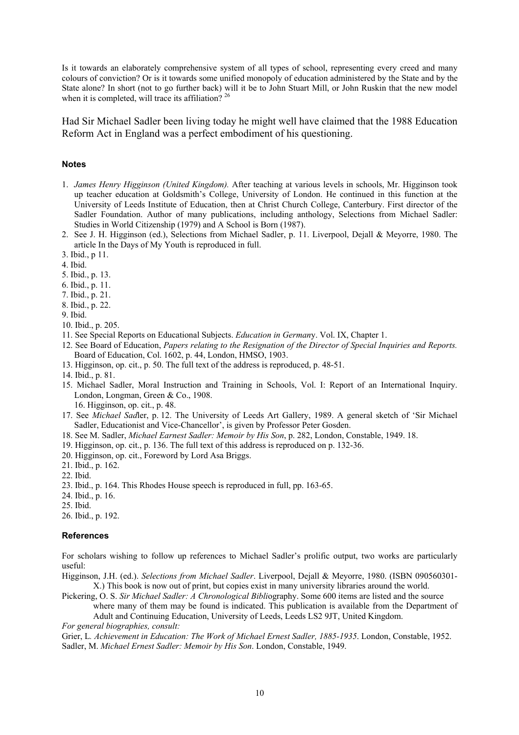Is it towards an elaborately comprehensive system of all types of school, representing every creed and many colours of conviction? Or is it towards some unified monopoly of education administered by the State and by the State alone? In short (not to go further back) will it be to John Stuart Mill, or John Ruskin that the new model when it is completed, will trace its affiliation?<sup>26</sup>

Had Sir Michael Sadler been living today he might well have claimed that the 1988 Education Reform Act in England was a perfect embodiment of his questioning.

#### **Notes**

- 1. *James Henry Higginson (United Kingdom).* After teaching at various levels in schools, Mr. Higginson took up teacher education at Goldsmith's College, University of London. He continued in this function at the University of Leeds Institute of Education, then at Christ Church College, Canterbury. First director of the Sadler Foundation. Author of many publications, including anthology, Selections from Michael Sadler: Studies in World Citizenship (1979) and A School is Born (1987).
- 2. See J. H. Higginson (ed.), Selections from Michael Sadler, p. 11. Liverpool, Dejall & Meyorre, 1980. The article In the Days of My Youth is reproduced in full.
- 3. Ibid., p 11.
- 4. Ibid.
- 5. Ibid., p. 13.
- 6. Ibid., p. 11.
- 7. Ibid., p. 21.
- 8. Ibid., p. 22.
- 9. Ibid.
- 10. Ibid., p. 205.
- 11. See Special Reports on Educational Subjects. *Education in German*y. Vol. IX, Chapter 1.
- 12. See Board of Education, *Papers relating to the Resignation of the Director of Special Inquiries and Reports.* Board of Education, Col. 1602, p. 44, London, HMSO, 1903.
- 13. Higginson, op. cit., p. 50. The full text of the address is reproduced, p. 48-51.
- 14. Ibid., p. 81.
- 15. Michael Sadler, Moral Instruction and Training in Schools, Vol. I: Report of an International Inquiry. London, Longman, Green & Co., 1908.
	- 16. Higginson, op. cit., p. 48.
- 17. See *Michael Sad*ler, p. 12. The University of Leeds Art Gallery, 1989. A general sketch of 'Sir Michael Sadler, Educationist and Vice-Chancellor', is given by Professor Peter Gosden.
- 18. See M. Sadler, *Michael Earnest Sadler: Memoir by His Son*, p. 282, London, Constable, 1949. 18.
- 19. Higginson, op. cit., p. 136. The full text of this address is reproduced on p. 132-36.
- 20. Higginson, op. cit., Foreword by Lord Asa Briggs.
- 21. Ibid., p. 162.
- 22. Ibid.
- 23. Ibid., p. 164. This Rhodes House speech is reproduced in full, pp. 163-65.
- 24. Ibid., p. 16.
- 25. Ibid.
- 26. Ibid., p. 192.

#### **References**

For scholars wishing to follow up references to Michael Sadler's prolific output, two works are particularly useful:

- Higginson, J.H. (ed.). *Selections from Michael Sadler*. Liverpool, Dejall & Meyorre, 1980. (ISBN 090560301- X.) This book is now out of print, but copies exist in many university libraries around the world.
- Pickering, O. S. *Sir Michael Sadler: A Chronological Bibli*ography. Some 600 items are listed and the source where many of them may be found is indicated. This publication is available from the Department of

Adult and Continuing Education, University of Leeds, Leeds LS2 9JT, United Kingdom.

*For general biographies, consult:* 

Grier, L*. Achievement in Education: The Work of Michael Ernest Sadler, 1885-1935*. London, Constable, 1952. Sadler, M. *Michael Ernest Sadler: Memoir by His Son*. London, Constable, 1949.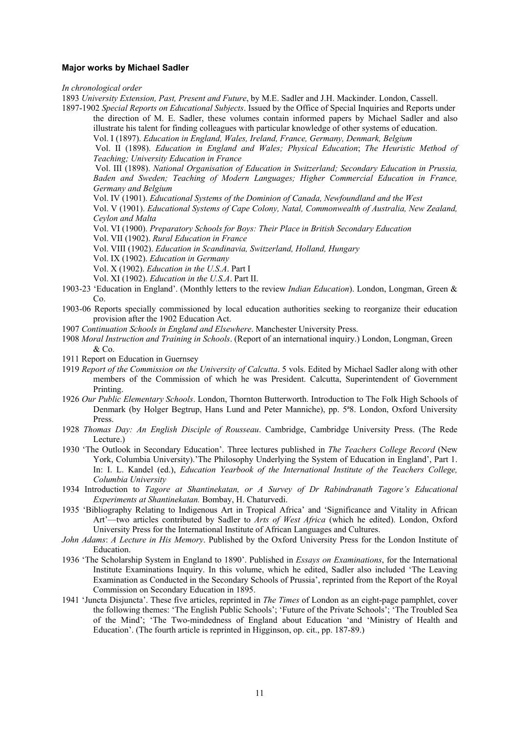#### **Major works by Michael Sadler**

*In chronological order*

- 1893 *University Extension, Past, Present and Future*, by M.E. Sadler and J.H. Mackinder. London, Cassell.
- 1897-1902 *Special Reports on Educational Subjects*. Issued by the Office of Special Inquiries and Reports under the direction of M. E. Sadler, these volumes contain informed papers by Michael Sadler and also illustrate his talent for finding colleagues with particular knowledge of other systems of education.
	- Vol. I (1897). *Education in England, Wales, Ireland, France, Germany, Denmark, Belgium*

Vol. II (1898). *Education in England and Wales; Physical Education*; *The Heuristic Method of Teaching; University Education in France* 

Vol. III (1898). *National Organisation of Education in Switzerland; Secondary Education in Prussia, Baden and Sweden; Teaching of Modern Languages; Higher Commercial Education in France, Germany and Belgium*

Vol. IV (1901). *Educational Systems of the Dominion of Canada, Newfoundland and the West* 

Vol. V (1901). *Educational Systems of Cape Colony, Natal, Commonwealth of Australia, New Zealand, Ceylon and Malta* 

Vol. VI (1900). *Preparatory Schools for Boys: Their Place in British Secondary Education* 

Vol. VII (1902). *Rural Education in France*

Vol. VIII (1902). *Education in Scandinavia, Switzerland, Holland, Hungary*

- Vol. IX (1902). *Education in Germany*
- Vol. X (1902). *Education in the U.S.A*. Part I
- Vol. XI (1902). *Education in the U.S.A*. Part II.
- 1903-23 'Education in England'. (Monthly letters to the review *Indian Education*). London, Longman, Green & Co.
- 1903-06 Reports specially commissioned by local education authorities seeking to reorganize their education provision after the 1902 Education Act.
- 1907 *Continuation Schools in England and Elsewhere*. Manchester University Press.
- 1908 *Moral Instruction and Training in Schools*. (Report of an international inquiry.) London, Longman, Green & Co.
- 1911 Report on Education in Guernsey
- 1919 *Report of the Commission on the University of Calcutta*. 5 vols. Edited by Michael Sadler along with other members of the Commission of which he was President. Calcutta, Superintendent of Government Printing.
- 1926 *Our Public Elementary Schools*. London, Thornton Butterworth. Introduction to The Folk High Schools of Denmark (by Holger Begtrup, Hans Lund and Peter Manniche), pp. 5ª8. London, Oxford University Press.
- 1928 *Thomas Day: An English Disciple of Rousseau*. Cambridge, Cambridge University Press. (The Rede Lecture.)
- 1930 'The Outlook in Secondary Education'. Three lectures published in *The Teachers College Record* (New York, Columbia University).'The Philosophy Underlying the System of Education in England', Part 1. In: I. L. Kandel (ed.), *Education Yearbook of the International Institute of the Teachers College, Columbia University*
- 1934 Introduction to *Tagore at Shantinekatan, or A Survey of Dr Rabindranath Tagore's Educational Experiments at Shantinekatan.* Bombay, H. Chaturvedi.
- 1935 'Bibliography Relating to Indigenous Art in Tropical Africa' and 'Significance and Vitality in African Art'—two articles contributed by Sadler to *Arts of West Africa* (which he edited). London, Oxford University Press for the International Institute of African Languages and Cultures.
- *John Adams*: *A Lecture in His Memory*. Published by the Oxford University Press for the London Institute of Education.
- 1936 'The Scholarship System in England to 1890'. Published in *Essays on Examinations*, for the International Institute Examinations Inquiry. In this volume, which he edited, Sadler also included 'The Leaving Examination as Conducted in the Secondary Schools of Prussia', reprinted from the Report of the Royal Commission on Secondary Education in 1895.
- 1941 'Juncta Disjuncta'. These five articles, reprinted in *The Times* of London as an eight-page pamphlet, cover the following themes: 'The English Public Schools'; 'Future of the Private Schools'; 'The Troubled Sea of the Mind'; 'The Two-mindedness of England about Education 'and 'Ministry of Health and Education'. (The fourth article is reprinted in Higginson, op. cit., pp. 187-89.)